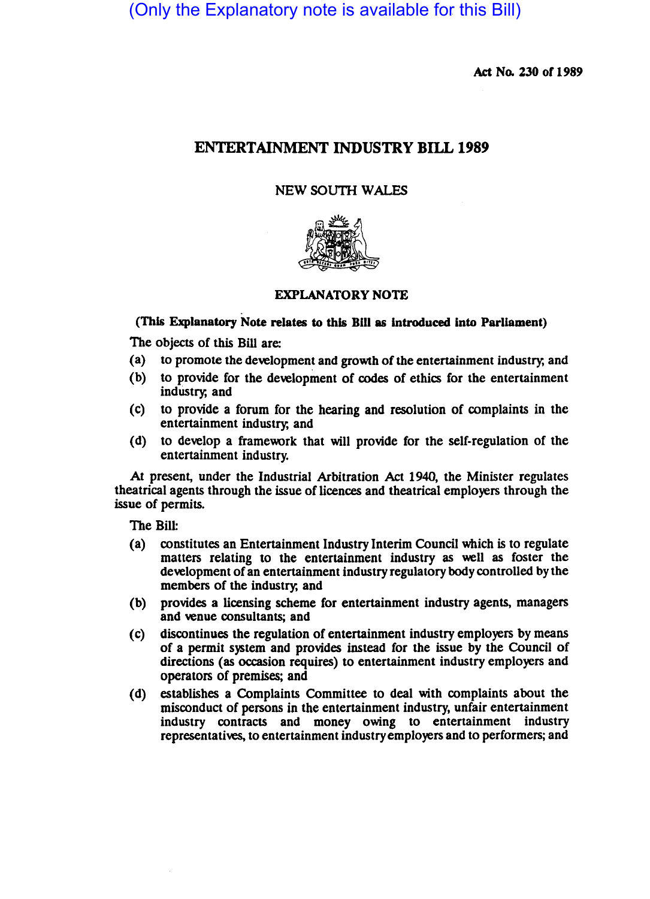(Only the Explanatory note is available for this Bill)

Act No. 230 or 1989

# ENTERTAINMENT INDUSTRY BILL 1989

# NEW SOUTH WALES



# EXPLANATORY NOTE

# (This Explanatory Note relates to this Bill as introduced into Parliament)

The objects of this Bill are:

- (a) to promote the development and growth of the entertainment industry; and
- (b) to provide for the development of codes of ethics for the entertainment industry; and
- (c) to provide a forum for the hearing and resolution of complaints in the entertainment industry; and
- (d) to develop a framework that will provide for the self-regulation of the entertainment industry.

At present, under the Industrial Arbitration Act 1940, the Minister regulates theatrical agents through the issue of licences and theatrical employers through the issue of permits.

The Bill:

- ( a) constitutes an Entertainment Industry Interim Council which is to regulate matters relating to the entertainment industry as well as foster the development of an entertainment industry regulatory body controlled by the members of the industry; and
- (b) provides a licensing scheme for entertainment industry agents, managers and venue consultants; and
- (c) discontinues the regulation of entertainment industry employers by means of a permit system and provides instead for the issue by the Council of directions (as occasion requires) to entertainment industry employers and operators of premises; and
- (d) establishes a Complaints Committee to deal with complaints about the misconduct of persons in the entertainment industry, unfair entertainment industry contracts and money owing to entertainment industry representatives, to entertainment industry employers and to performers; and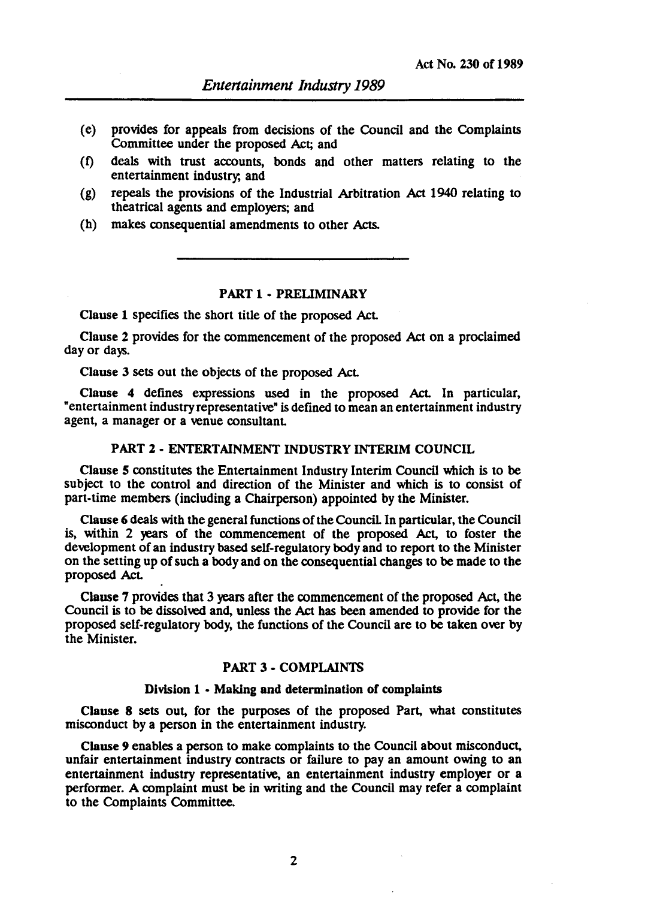- (e) provides for appeals from decisions of the Council and the Complaints Committee under the proposed Act; and
- (t) deals with trust accounts, bonds and other matters relating to the entertainment industry, and
- (g) repeals the provisions of the Industrial Arbitration Act 1940 relating to theatrical agents and employers; and
- (h) makes consequential amendments to other Acts.

## PART 1 - PRELIMINARY

Clause 1 specifies the short title of the proposed Act.

Clause 2 provides for the commencement of the proposed Act on a proclaimed day or days.

Clause 3 sets out the objects of the proposed AcL

Clause 4 defines expressions used in the proposed Act. In particular, "entertainment industry representative" is defined to mean an entertainment industry agent, a manager or a venue consultant.

### PART 2· ENTERTAINMENT INDUSTRY INTERIM COUNCIL

Clause 5 constitutes the Entertainment Industry Interim Council which is to be subject to the control and direction of the Minister and which is to consist of part-time members (including a Chairperson) appointed by the Minister.

Clause 6 deals with the general functions of the Council. In particular, the Council is, within 2 years of the commencement of the proposed Act, to foster the development of an industry based self-regulatory body and to report to the Minister on the setting up of such a body and on the consequential changes to be made to the proposed AcL

Clause 7 provides that 3 years after the commencement of the proposed Act, the Council is to be dissolved and, unless the Act has been amended to provide for the proposed self-regulatory body, the functions of the Council are to be taken over by the Minister.

## PART 3· COMPLAINTS

#### Division 1 • Making and determination of complaints

Clause 8 sets out, for the purposes of the proposed Part, what constitutes misconduct by a person in the entertainment industry.

Clause 9 enables a person to make complaints to the Council about misconduct, unfair entertainment industry contracts or failure to pay an amount Owing to an entertainment industry representative, an entertainment industry employer or a performer. A complaint must be in writing and the Council may refer a complaint to the Complaints Committee.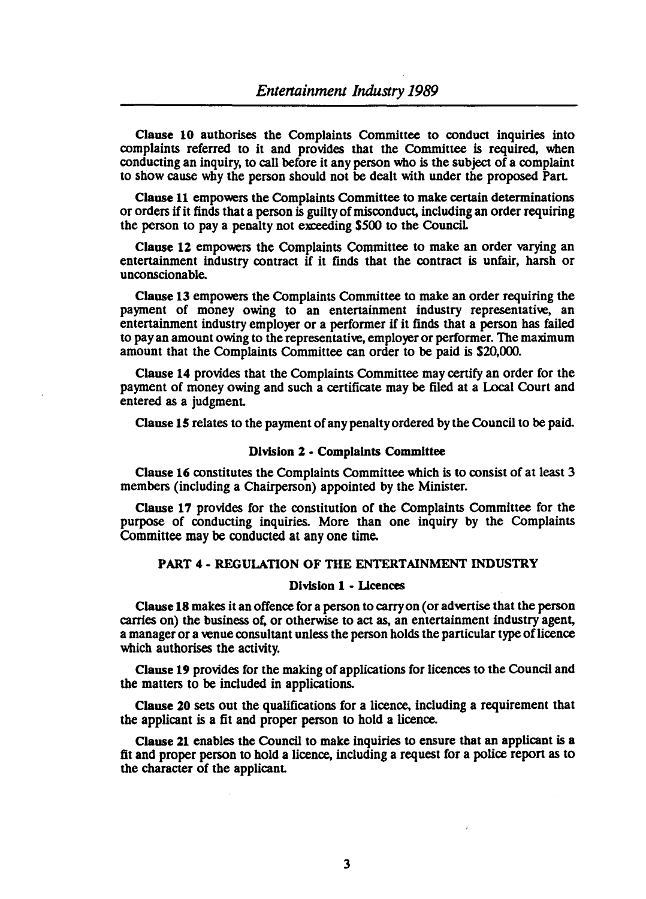Clause 10 authorises the Complaints Committee to conduct inquiries into complaints referred to it and provides that the Committee is required, when conducting an inquiry, to call before it any person who is the subject of a complaint to show cause wby the person should not be dealt with under the proposed Pan

Clause 11 empowers the Complaints Committee to make certain determinations or orders if it finds that a person is guilty of misconduct, including an order requiring the person to pay a penalty not exceeding SSOO to the Council

Clause 12 empowers the Complaints Committee to make an order varying an entertainment industry contract if it finds that the contract is unfair, harsh or unconscionable.

Clause 13 empowers the Complaints Committee to make an order requiring the payment of money Owing to an entertainment industry representative, an entertainment industry employer or a performer if it finds that a person has failed to pay an amount owing to the representative, employer or performer. The maximum amount that the Complaints Committee can order to be paid is S20,OOO.

Clause 14 provides that the Complaints Committee may certify an order for the payment of money Owing and such a certificate may be filed at a Local Court and entered as a judgment.

Clause 15 relates to the payment of any penalty ordered by the Council to be paid.

#### Division 2 • Complaints Committee

Clause 16 constitutes the Complaints Committee which is to consist of at least 3 members (including a Chairperson) appointed by the Minister.

Clause 17 provides for the constitution of the Complaints Committee for the purpose of conducting inquiries. More than one inquiry by the Complaints Committee may be conducted at anyone time.

#### PART 4 - REGULATION OF THE ENTERTAINMENT INDUSTRY

### Division 1 • IJcences

Clause 18 makes it an offence for a person to carry on (or advertise that the person carries on) the business of, or otherwise to act as, an entertainment industry agent, a manager or a venue consultant unless the person holds the particular type of licence which authorises the activity.

Clause 19 provides for the making of applications for licences to the Council and the matters to be included in applications.

Clause 20 sets out the qualifications for a licence, including a requirement that the applicant is a fit and proper person to hold a licence.

Clause 21 enables the Council to make inquiries to ensure that an applicant is a fit and proper person to hold a licence, including a request for a police report as to the character of the applicanL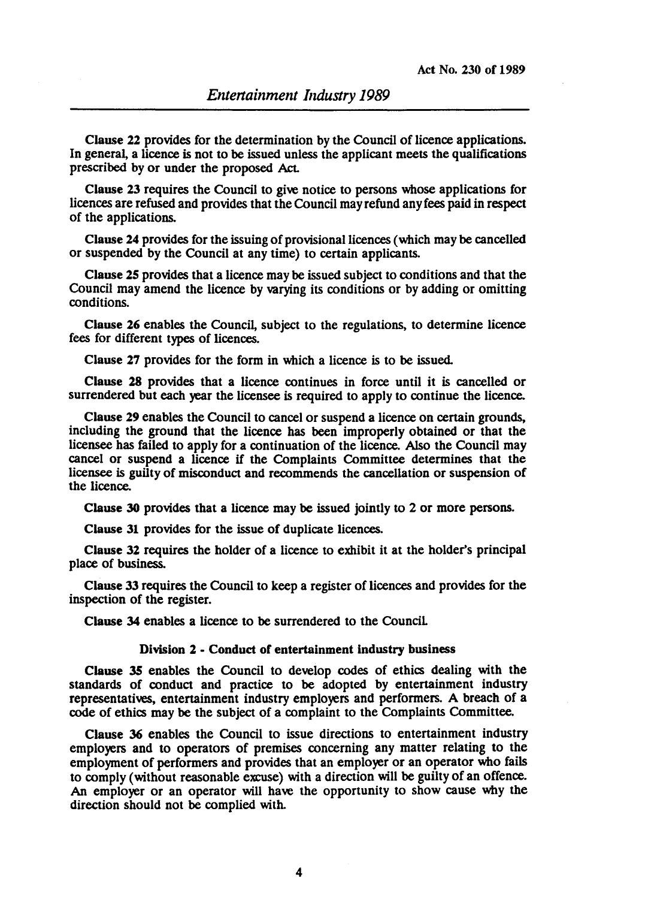Clause 22 provides for the determination by the Council of licence applications. In general, a licence is not to be issued unless the applicant meets the qualifications prescribed by or under the proposed Act.

Clause 23 requires the Council to give notice to persons whose applications for licences are refused and provides that the Council may refund any fees paid in respect of the applications.

Clause 24 provides for the issuing of provisional licences (which may be cancelled or suspended by the Council at any time) to certain applicants.

Clause 2S provides that a licence may be issued subject to conditions and that the Council may amend the licence by varying its conditions or by adding or omitting conditions.

Clause 26 enables the Council, subject to the regulations, to determine licence fees for different types of licences.

Clause 27 provides for the form in which a licence is to be issued.

Clause 28 provides that a licence continues in force until it is cancelled or surrendered but each year the licensee is required to apply to continue the licence.

Clause 29 enables the Council to cancel or suspend a licence on certain grounds, including the ground that the licence has been improperly obtained or that the licensee has failed to apply for a continuation of the licence. Also the Council may cancel or suspend a licence if the Complaints Committee determines that the licensee is guilty of misconduct and recommends the cancellation or suspension of the licence.

Clause 30 provides that a licence may be issued jointly to 2 or more persons.

Clause 31 provides for the issue of duplicate licences.

Clause 32 requires the holder of a licence to exhibit it at the holder's principal place of business.

Clause 33 requires the Council to keep a register of licences and provides for the inspection of the register.

Clause 34 enables a licence to be surrendered to the Council.

## Division 2 - Conduct of entertainment industry business

Clause 35 enables the Council to develop codes of ethics dealing with the standards of conduct and practice to be adopted by entertainment industry representatives, entertainment industry employers and performers. A breach of a code of ethics may be the subject of a complaint to the Complaints Committee.

Clause 36 enables the Council to issue directions to entertainment industry employers and to operators of premises concerning any matter relating to the employment of performers and provides that an employer or an operator who fails to comply (without reasonable excuse) with a direction will be guilty of an offence. An employer or an operator will have the opportunity to show cause why the direction should not be complied with.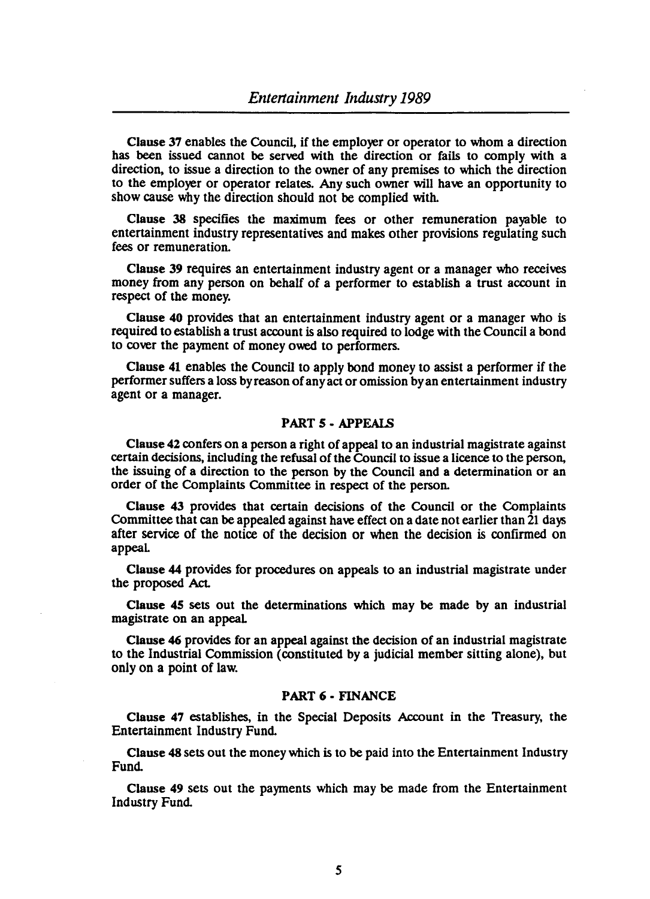Clause 37 enables the Council, if the employer or operator to whom a direction has been issued cannot be served with the direction or fails to comply with a direction, to issue a direction to the owner of any premises to which the direction to the employer or operator relates. Any such owner will have an opportunity to show cause why the direction should not be complied with.

Clause 38 specifies the maximum fees or other remuneration payable to entertainment industry representatives and makes other provisions regulating such fees or remuneration.

Clause 39 requires an entertainment industry agent or a manager who receives money from any person on behalf of a performer to establish a trust account in respect of the money.

Clause 40 provides that an entertainment industry agent or a manager who is required to establish a trust account is also required to lodge with the Council a bond to cover the payment of money owed to performers.

Clause 41 enables the Council to apply bond money to assist a performer if the performer suffers a loss by reason of any act or omission by an entertainment industry agent or a manager.

## PART 5 • APPEAlS

Clause 42 confers on a person a right of appeal to an industrial magistrate against certain decisions, including the refusal of the Council to issue a licence to the person, the issuing of a direction to the person by the Council and a determination or an order of the Complaints Committee in respect of the person.

Clause 43 provides that certain decisions of the Council or the Complaints Committee that can be appealed against have effect on a date not earlier than 21 days after service of the notice of the decision or when the decision is confirmed on appeaL

Clause 44 provides for procedures on appeals to an industrial magistrate under the proposed Act.

Clause 45 sets out the determinations which may be made by an industrial magistrate on an appeaL

Clause 46 provides for an appeal against the decision of an industrial magistrate to the Industrial Commission (constituted by a judicial member sitting alone), but only on a point of law.

# PART 6 - FINANCE

Clause 47 establishes, in the Special Deposits Account in the Treasury, the Entertainment Industry Fund.

Clause 48 sets out the money which is to be paid into the Entertainment Industry Fund.

Clause 49 sets out the payments which may be made from the Entertainment Industry Fund.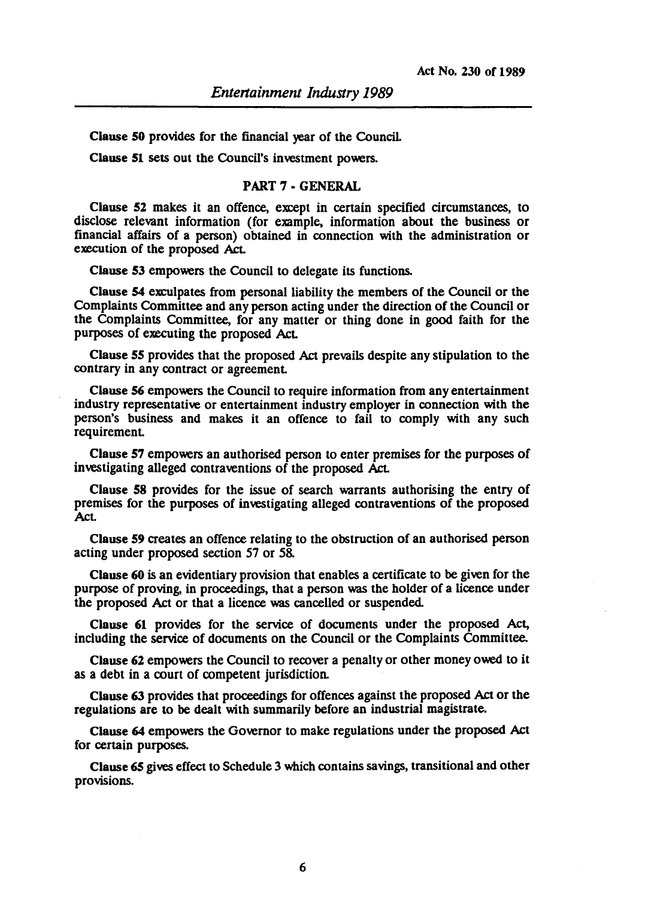Clause 50 provides for the financial year of the CounciL

Clause 51 sets out the Council's investment powers.

### PART 7 - GENERAL

Clause 52 makes it an offence, except in certain specified circumstances, to disclose relevant information (for example, information about the business or financial affairs of a person) obtained in connection with the administration or execution of the proposed Act.

Clause 53 empowers the Council to delegate its functions.

Clause 54 exculpates from personal liability the members of the Council or the Complaints Committee and any person acting under the direction of the Council or the Complaints Committee, for any matter or thing done in good faith for the purposes of executing the proposed Act.

Clause 55 provides that the proposed Act prevails despite any stipulation to the contrary in any contract or agreement

Clause 56 empowers the Council to require information from any entertainment industry representative or entertainment industry employer in connection with the person's business and makes it an offence to fail to comply with any such requirement

Clause 57 empowers an authorised person to enter premises for the purposes of investigating alleged contraventions of the proposed Act.

Clause 58 provides for the issue of search warrants authorising the entry of premises for the purposes of investigating alleged contraventions of the proposed Act

Clause 59 creates an offence relating to the obstruction of an authorised person acting under proposed section 57 or 58.

Clause 60 is an evidentiary provision that enables a certificate to be given for the purpose of proving, in proceedings, that a person was the holder of a licence under the proposed Act or that a licence was cancelled or suspended.

Clause 61 provides for the service of documents under the proposed Act, including the service of documents on the Council or the Complaints Committee.

Clause 62 empowers the Council to recover a penalty or other money owed to it as a debt in a court of competent jurisdiction.

Clause 63 provides that proceedings for offences against the proposed Act or the regulations are to be dealt with summarily before an industrial magistrate.

Clause 64 empowers the Governor to make regulations under the proposed Act for certain purposes.

Clause 65 gives effect to Schedule 3 which contains savings, transitional and other provisions.